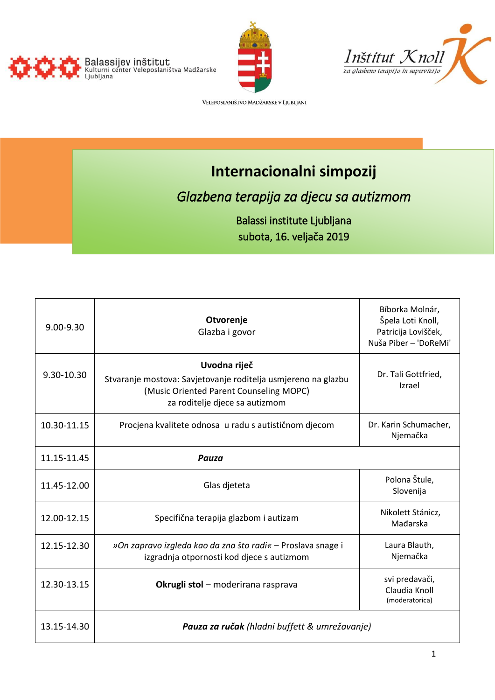





VELEPOSLANIŠTVO MADŽARSKE V LJUBLJANI

# **Internacionalni simpozij**

*Glazbena terapija za djecu sa autizmom* 

Balassi institute Ljubljana subota, 16. veljača 2019

| $9.00 - 9.30$ | Otvorenje<br>Glazba i govor                                                                                                                                | Bíborka Molnár,<br>Špela Loti Knoll,<br>Patricija Lovišček,<br>Nuša Piber - 'DoReMi' |
|---------------|------------------------------------------------------------------------------------------------------------------------------------------------------------|--------------------------------------------------------------------------------------|
| 9.30-10.30    | Uvodna riječ<br>Stvaranje mostova: Savjetovanje roditelja usmjereno na glazbu<br>(Music Oriented Parent Counseling MOPC)<br>za roditelje djece sa autizmom | Dr. Tali Gottfried,<br>Izrael                                                        |
| 10.30-11.15   | Procjena kvalitete odnosa u radu s autističnom djecom                                                                                                      | Dr. Karin Schumacher,<br>Njemačka                                                    |
| 11.15-11.45   | Pauza                                                                                                                                                      |                                                                                      |
| 11.45-12.00   | Glas djeteta                                                                                                                                               | Polona Štule,<br>Slovenija                                                           |
| 12.00-12.15   | Specifična terapija glazbom i autizam                                                                                                                      | Nikolett Stánicz,<br>Mađarska                                                        |
| 12.15-12.30   | »On zapravo izgleda kao da zna što radi« - Proslava snage i<br>izgradnja otpornosti kod djece s autizmom                                                   | Laura Blauth,<br>Njemačka                                                            |
| 12.30-13.15   | Okrugli stol - moderirana rasprava                                                                                                                         | svi predavači,<br>Claudia Knoll<br>(moderatorica)                                    |
| 13.15-14.30   | Pauza za ručak (hladni buffett & umrežavanje)                                                                                                              |                                                                                      |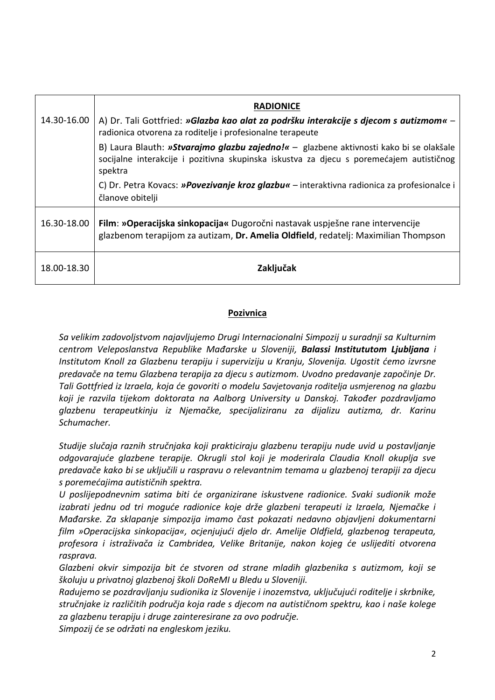|             | <b>RADIONICE</b>                                                                                                                                                                             |  |
|-------------|----------------------------------------------------------------------------------------------------------------------------------------------------------------------------------------------|--|
| 14.30-16.00 | A) Dr. Tali Gottfried: »Glazba kao alat za podršku interakcije s djecom s autizmom« -<br>radionica otvorena za roditelje i profesionalne terapeute                                           |  |
|             | B) Laura Blauth: »Stvarajmo glazbu zajedno!« - glazbene aktivnosti kako bi se olakšale<br>socijalne interakcije i pozitivna skupinska iskustva za djecu s poremećajem autističnog<br>spektra |  |
|             | C) Dr. Petra Kovacs: »Povezivanje kroz glazbu« – interaktivna radionica za profesionalce i<br>članove obitelji                                                                               |  |
| 16.30-18.00 | Film: »Operacijska sinkopacija« Dugoročni nastavak uspješne rane intervencije<br>glazbenom terapijom za autizam, Dr. Amelia Oldfield, redatelj: Maximilian Thompson                          |  |
| 18.00-18.30 | Zaključak                                                                                                                                                                                    |  |

## **Pozivnica**

*Sa velikim zadovoljstvom najavljujemo Drugi Internacionalni Simpozij u suradnji sa Kulturnim centrom Veleposlanstva Republike Mađarske u Sloveniji, Balassi Institututom Ljubljana i Institutom Knoll za Glazbenu terapiju i superviziju u Kranju, Slovenija. Ugostit ćemo izvrsne predavače na temu Glazbena terapija za djecu s autizmom. Uvodno predavanje započinje Dr. Tali Gottfried iz Izraela, koja će govoriti o modelu Savjetovanja roditelja usmjerenog na glazbu koji je razvila tijekom doktorata na Aalborg University u Danskoj. Također pozdravljamo glazbenu terapeutkinju iz Njemačke, specijaliziranu za dijalizu autizma, dr. Karinu Schumacher.*

*Studije slučaja raznih stručnjaka koji prakticiraju glazbenu terapiju nude uvid u postavljanje odgovarajuće glazbene terapije. Okrugli stol koji je moderirala Claudia Knoll okuplja sve predavače kako bi se uključili u raspravu o relevantnim temama u glazbenoj terapiji za djecu s poremećajima autističnih spektra.*

*U poslijepodnevnim satima biti će organizirane iskustvene radionice. Svaki sudionik može izabrati jednu od tri moguće radionice koje drže glazbeni terapeuti iz Izraela, Njemačke i Mađarske. Za sklapanje simpozija imamo čast pokazati nedavno objavljeni dokumentarni film »Operacijska sinkopacija«, ocjenjujući djelo dr. Amelije Oldfield, glazbenog terapeuta, profesora i istraživača iz Cambridea, Velike Britanije, nakon kojeg će uslijediti otvorena rasprava.*

*Glazbeni okvir simpozija bit će stvoren od strane mladih glazbenika s autizmom, koji se školuju u privatnoj glazbenoj školi DoReMI u Bledu u Sloveniji.*

*Radujemo se pozdravljanju sudionika iz Slovenije i inozemstva, uključujući roditelje i skrbnike, stručnjake iz različitih područja koja rade s djecom na autističnom spektru, kao i naše kolege za glazbenu terapiju i druge zainteresirane za ovo područje.*

*Simpozij će se održati na engleskom jeziku.*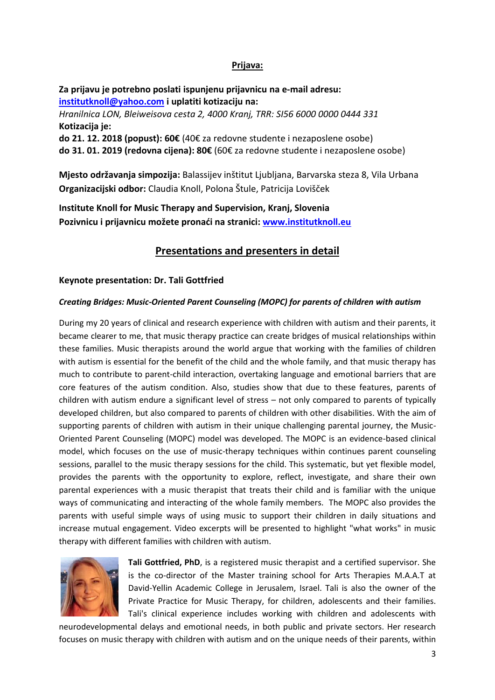#### **Prijava:**

### **Za prijavu je potrebno poslati ispunjenu prijavnicu na e-mail adresu: [institutknoll@yahoo.com](mailto:institutknoll@yahoo.com) i uplatiti kotizaciju na:**

*Hranilnica LON, Bleiweisova cesta 2, 4000 Kranj, TRR: SI56 6000 0000 0444 331*  **Kotizacija je: do 21. 12. 2018 (popust): 60€** (40€ za redovne studente i nezaposlene osobe)

**do 31. 01. 2019 (redovna cijena): 80€** (60€ za redovne studente i nezaposlene osobe)

**Mjesto održavanja simpozija:** Balassijev inštitut Ljubljana, Barvarska steza 8, Vila Urbana **Organizacijski odbor:** Claudia Knoll, Polona Štule, Patricija Lovišček

**Institute Knoll for Music Therapy and Supervision, Kranj, Slovenia Pozivnicu i prijavnicu možete pronaći na stranici: [www.institutknoll.eu](http://www.institutknoll.eu/)**

## **Presentations and presenters in detail**

#### **Keynote presentation: Dr. Tali Gottfried**

#### *Creating Bridges: Music-Oriented Parent Counseling (MOPC) for parents of children with autism*

During my 20 years of clinical and research experience with children with autism and their parents, it became clearer to me, that music therapy practice can create bridges of musical relationships within these families. Music therapists around the world argue that working with the families of children with autism is essential for the benefit of the child and the whole family, and that music therapy has much to contribute to parent-child interaction, overtaking language and emotional barriers that are core features of the autism condition. Also, studies show that due to these features, parents of children with autism endure a significant level of stress – not only compared to parents of typically developed children, but also compared to parents of children with other disabilities. With the aim of supporting parents of children with autism in their unique challenging parental journey, the Music-Oriented Parent Counseling (MOPC) model was developed. The MOPC is an evidence-based clinical model, which focuses on the use of music-therapy techniques within continues parent counseling sessions, parallel to the music therapy sessions for the child. This systematic, but yet flexible model, provides the parents with the opportunity to explore, reflect, investigate, and share their own parental experiences with a music therapist that treats their child and is familiar with the unique ways of communicating and interacting of the whole family members. The MOPC also provides the parents with useful simple ways of using music to support their children in daily situations and increase mutual engagement. Video excerpts will be presented to highlight "what works" in music therapy with different families with children with autism.



**Tali Gottfried, PhD**, is a registered music therapist and a certified supervisor. She is the co-director of the Master training school for Arts Therapies M.A.A.T at David-Yellin Academic College in Jerusalem, Israel. Tali is also the owner of the Private Practice for Music Therapy, for children, adolescents and their families. Tali's clinical experience includes working with children and adolescents with

neurodevelopmental delays and emotional needs, in both public and private sectors. Her research focuses on music therapy with children with autism and on the unique needs of their parents, within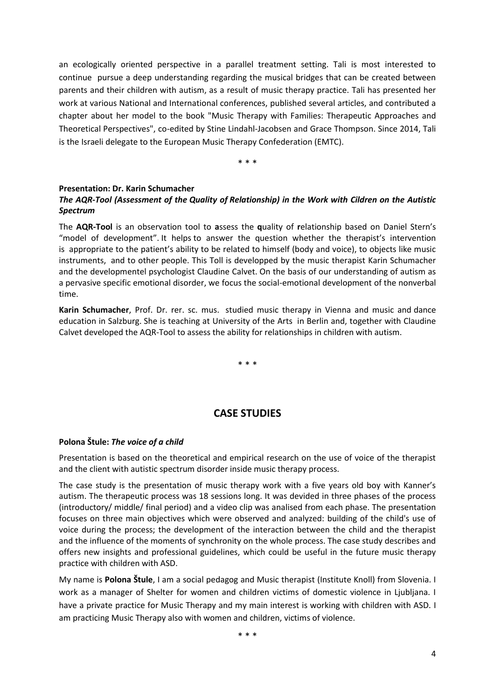an ecologically oriented perspective in a parallel treatment setting. Tali is most interested to continue pursue a deep understanding regarding the musical bridges that can be created between parents and their children with autism, as a result of music therapy practice. Tali has presented her work at various National and International conferences, published several articles, and contributed a chapter about her model to the book "Music Therapy with Families: Therapeutic Approaches and Theoretical Perspectives", co-edited by Stine Lindahl-Jacobsen and Grace Thompson. Since 2014, Tali is the Israeli delegate to the European Music Therapy Confederation (EMTC).

\* \* \*

#### **Presentation: Dr. Karin Schumacher**

#### *The AQR-Tool (Assessment of the Quality of Relationship) in the Work with Cildren on the Autistic Spectrum*

The **AQR-Tool** is an observation tool to **a**ssess the **q**uality of **r**elationship based on Daniel Stern's "model of development". It helps to answer the question whether the therapist's intervention is appropriate to the patient's ability to be related to himself (body and voice), to objects like music instruments, and to other people. This Toll is developped by the music therapist Karin Schumacher and the developmentel psychologist Claudine Calvet. On the basis of our understanding of autism as a pervasive specific emotional disorder, we focus the social-emotional development of the nonverbal time.

**Karin Schumacher**, Prof. Dr. rer. sc. mus. studied music therapy in Vienna and music and dance education in Salzburg. She is teaching at University of the Arts in Berlin and, together with Claudine Calvet developed the AQR-Tool to assess the ability for relationships in children with autism.

\* \* \*

## **CASE STUDIES**

#### **Polona Štule:** *The voice of a child*

Presentation is based on the theoretical and empirical research on the use of voice of the therapist and the client with autistic spectrum disorder inside music therapy process.

The case study is the presentation of music therapy work with a five years old boy with Kanner's autism. The therapeutic process was 18 sessions long. It was devided in three phases of the process (introductory/ middle/ final period) and a video clip was analised from each phase. The presentation focuses on three main objectives which were observed and analyzed: building of the child's use of voice during the process; the development of the interaction between the child and the therapist and the influence of the moments of synchronity on the whole process. The case study describes and offers new insights and professional guidelines, which could be useful in the future music therapy practice with children with ASD.

My name is **Polona Štule**, I am a social pedagog and Music therapist (Institute Knoll) from Slovenia. I work as a manager of Shelter for women and children victims of domestic violence in Ljubljana. I have a private practice for Music Therapy and my main interest is working with children with ASD. I am practicing Music Therapy also with women and children, victims of violence.

\* \* \*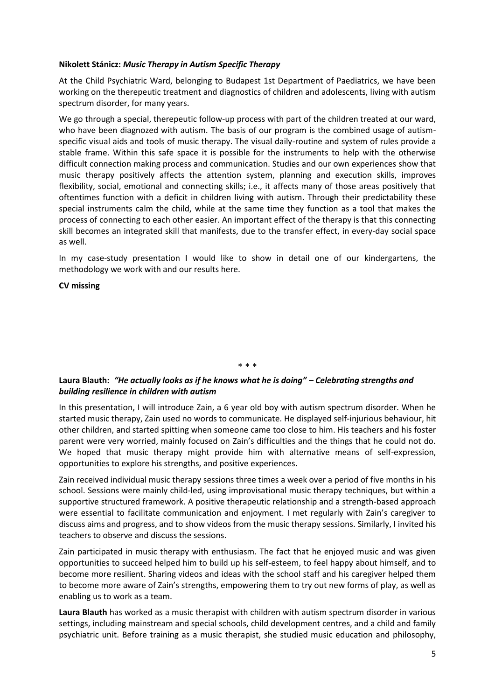#### **Nikolett Stánicz:** *Music Therapy in Autism Specific Therapy*

At the Child Psychiatric Ward, belonging to Budapest 1st Department of Paediatrics, we have been working on the therepeutic treatment and diagnostics of children and adolescents, living with autism spectrum disorder, for many years.

We go through a special, therepeutic follow-up process with part of the children treated at our ward, who have been diagnozed with autism. The basis of our program is the combined usage of autismspecific visual aids and tools of music therapy. The visual daily-routine and system of rules provide a stable frame. Within this safe space it is possible for the instruments to help with the otherwise difficult connection making process and communication. Studies and our own experiences show that music therapy positively affects the attention system, planning and execution skills, improves flexibility, social, emotional and connecting skills; i.e., it affects many of those areas positively that oftentimes function with a deficit in children living with autism. Through their predictability these special instruments calm the child, while at the same time they function as a tool that makes the process of connecting to each other easier. An important effect of the therapy is that this connecting skill becomes an integrated skill that manifests, due to the transfer effect, in every-day social space as well.

In my case-study presentation I would like to show in detail one of our kindergartens, the methodology we work with and our results here.

#### **CV missing**

#### \* \* \*

#### **Laura Blauth:** *"He actually looks as if he knows what he is doing" – Celebrating strengths and building resilience in children with autism*

In this presentation, I will introduce Zain, a 6 year old boy with autism spectrum disorder. When he started music therapy, Zain used no words to communicate. He displayed self-injurious behaviour, hit other children, and started spitting when someone came too close to him. His teachers and his foster parent were very worried, mainly focused on Zain's difficulties and the things that he could not do. We hoped that music therapy might provide him with alternative means of self-expression, opportunities to explore his strengths, and positive experiences.

Zain received individual music therapy sessions three times a week over a period of five months in his school. Sessions were mainly child-led, using improvisational music therapy techniques, but within a supportive structured framework. A positive therapeutic relationship and a strength-based approach were essential to facilitate communication and enjoyment. I met regularly with Zain's caregiver to discuss aims and progress, and to show videos from the music therapy sessions. Similarly, I invited his teachers to observe and discuss the sessions.

Zain participated in music therapy with enthusiasm. The fact that he enjoyed music and was given opportunities to succeed helped him to build up his self-esteem, to feel happy about himself, and to become more resilient. Sharing videos and ideas with the school staff and his caregiver helped them to become more aware of Zain's strengths, empowering them to try out new forms of play, as well as enabling us to work as a team.

**Laura Blauth** has worked as a music therapist with children with autism spectrum disorder in various settings, including mainstream and special schools, child development centres, and a child and family psychiatric unit. Before training as a music therapist, she studied music education and philosophy,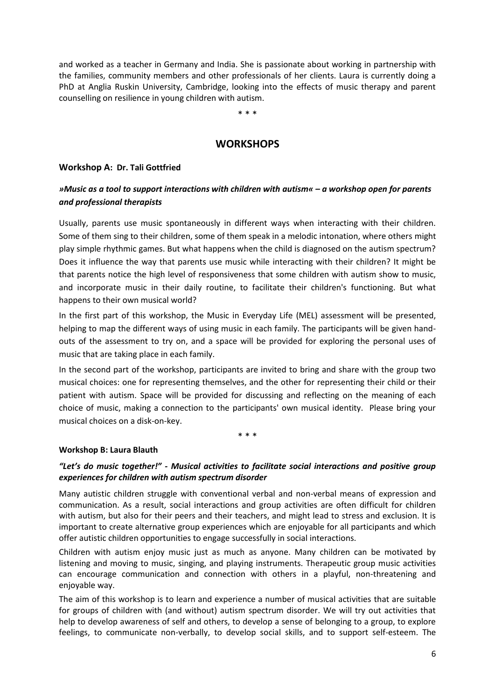and worked as a teacher in Germany and India. She is passionate about working in partnership with the families, community members and other professionals of her clients. Laura is currently doing a PhD at Anglia Ruskin University, Cambridge, looking into the effects of music therapy and parent counselling on resilience in young children with autism.

\* \* \*

## **WORKSHOPS**

#### **Workshop A: Dr. Tali Gottfried**

### *»Music as a tool to support interactions with children with autism« – a workshop open for parents and professional therapists*

Usually, parents use music spontaneously in different ways when interacting with their children. Some of them sing to their children, some of them speak in a melodic intonation, where others might play simple rhythmic games. But what happens when the child is diagnosed on the autism spectrum? Does it influence the way that parents use music while interacting with their children? It might be that parents notice the high level of responsiveness that some children with autism show to music, and incorporate music in their daily routine, to facilitate their children's functioning. But what happens to their own musical world?

In the first part of this workshop, the Music in Everyday Life (MEL) assessment will be presented, helping to map the different ways of using music in each family. The participants will be given handouts of the assessment to try on, and a space will be provided for exploring the personal uses of music that are taking place in each family.

In the second part of the workshop, participants are invited to bring and share with the group two musical choices: one for representing themselves, and the other for representing their child or their patient with autism. Space will be provided for discussing and reflecting on the meaning of each choice of music, making a connection to the participants' own musical identity. Please bring your musical choices on a disk-on-key.

\* \* \*

#### **Workshop B: Laura Blauth**

#### *"Let's do music together!" - Musical activities to facilitate social interactions and positive group experiences for children with autism spectrum disorder*

Many autistic children struggle with conventional verbal and non-verbal means of expression and communication. As a result, social interactions and group activities are often difficult for children with autism, but also for their peers and their teachers, and might lead to stress and exclusion. It is important to create alternative group experiences which are enjoyable for all participants and which offer autistic children opportunities to engage successfully in social interactions.

Children with autism enjoy music just as much as anyone. Many children can be motivated by listening and moving to music, singing, and playing instruments. Therapeutic group music activities can encourage communication and connection with others in a playful, non-threatening and enjoyable way.

The aim of this workshop is to learn and experience a number of musical activities that are suitable for groups of children with (and without) autism spectrum disorder. We will try out activities that help to develop awareness of self and others, to develop a sense of belonging to a group, to explore feelings, to communicate non-verbally, to develop social skills, and to support self-esteem. The